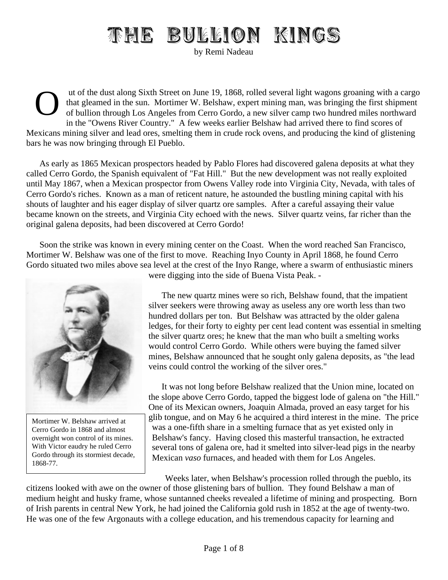## THE BULLION KINGS

by Remi Nadeau

O ut of the dust along Sixth Street on June 19, 1868, rolled several light wagons groaning with a cargo that gleamed in the sun. Mortimer W. Belshaw, expert mining man, was bringing the first shipment of bullion through Los Angeles from Cerro Gordo, a new silver camp two hundred miles northward in the "Owens River Country." A few weeks earlier Belshaw had arrived there to find scores of Mexicans mining silver and lead ores, smelting them in crude rock ovens, and producing the kind of glistening bars he was now bringing through El Pueblo.

As early as 1865 Mexican prospectors headed by Pablo Flores had discovered galena deposits at what they called Cerro Gordo, the Spanish equivalent of "Fat Hill." But the new development was not really exploited until May 1867, when a Mexican prospector from Owens Valley rode into Virginia City, Nevada, with tales of Cerro Gordo's riches. Known as a man of reticent nature, he astounded the bustling mining capital with his shouts of laughter and his eager display of silver quartz ore samples. After a careful assaying their value became known on the streets, and Virginia City echoed with the news. Silver quartz veins, far richer than the original galena deposits, had been discovered at Cerro Gordo!

Soon the strike was known in every mining center on the Coast. When the word reached San Francisco, Mortimer W. Belshaw was one of the first to move. Reaching Inyo County in April 1868, he found Cerro Gordo situated two miles above sea level at the crest of the Inyo Range, where a swarm of enthusiastic miners



Mortimer W. Belshaw arrived at Cerro Gordo in 1868 and almost overnight won control of its mines. With Victor eaudry he ruled Cerro Gordo through its stormiest decade, 1868-77.

were digging into the side of Buena Vista Peak. -

The new quartz mines were so rich, Belshaw found, that the impatient silver seekers were throwing away as useless any ore worth less than two hundred dollars per ton. But Belshaw was attracted by the older galena ledges, for their forty to eighty per cent lead content was essential in smelting the silver quartz ores; he knew that the man who built a smelting works would control Cerro Gordo. While others were buying the famed silver mines, Belshaw announced that he sought only galena deposits, as "the lead veins could control the working of the silver ores."

It was not long before Belshaw realized that the Union mine, located on the slope above Cerro Gordo, tapped the biggest lode of galena on "the Hill." One of its Mexican owners, Joaquin Almada, proved an easy target for his glib tongue, and on May 6 he acquired a third interest in the mine. The price was a one-fifth share in a smelting furnace that as yet existed only in Belshaw's fancy. Having closed this masterful transaction, he extracted several tons of galena ore, had it smelted into silver-lead pigs in the nearby Mexican *vaso* furnaces, and headed with them for Los Angeles.

Weeks later, when Belshaw's procession rolled through the pueblo, its citizens looked with awe on the owner of those glistening bars of bullion. They found Belshaw a man of medium height and husky frame, whose suntanned cheeks revealed a lifetime of mining and prospecting. Born of Irish parents in central New York, he had joined the California gold rush in 1852 at the age of twenty-two. He was one of the few Argonauts with a college education, and his tremendous capacity for learning and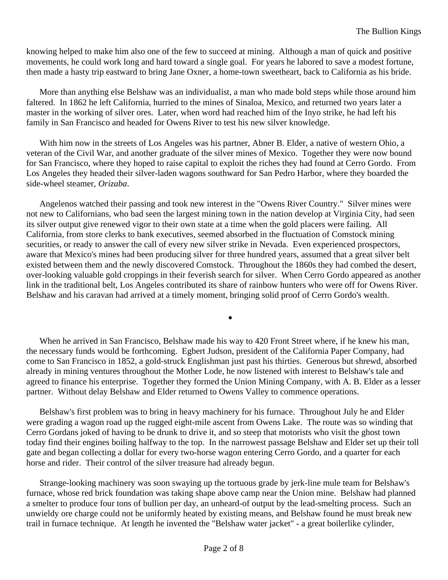knowing helped to make him also one of the few to succeed at mining. Although a man of quick and positive movements, he could work long and hard toward a single goal. For years he labored to save a modest fortune, then made a hasty trip eastward to bring Jane Oxner, a home-town sweetheart, back to California as his bride.

More than anything else Belshaw was an individualist, a man who made bold steps while those around him faltered. In 1862 he left California, hurried to the mines of Sinaloa, Mexico, and returned two years later a master in the working of silver ores. Later, when word had reached him of the Inyo strike, he had left his family in San Francisco and headed for Owens River to test his new silver knowledge.

With him now in the streets of Los Angeles was his partner, Abner B. Elder, a native of western Ohio, a veteran of the Civil War, and another graduate of the silver mines of Mexico. Together they were now bound for San Francisco, where they hoped to raise capital to exploit the riches they had found at Cerro Gordo. From Los Angeles they headed their silver-laden wagons southward for San Pedro Harbor, where they boarded the side-wheel steamer, *Orizaba*.

Angelenos watched their passing and took new interest in the "Owens River Country." Silver mines were not new to Californians, who bad seen the largest mining town in the nation develop at Virginia City, had seen its silver output give renewed vigor to their own state at a time when the gold placers were failing. All California, from store clerks to bank executives, seemed absorbed in the fluctuation of Comstock mining securities, or ready to answer the call of every new silver strike in Nevada. Even experienced prospectors, aware that Mexico's mines had been producing silver for three hundred years, assumed that a great silver belt existed between them and the newly discovered Comstock. Throughout the 1860s they had combed the desert, over-looking valuable gold croppings in their feverish search for silver. When Cerro Gordo appeared as another link in the traditional belt, Los Angeles contributed its share of rainbow hunters who were off for Owens River. Belshaw and his caravan had arrived at a timely moment, bringing solid proof of Cerro Gordo's wealth.

When he arrived in San Francisco, Belshaw made his way to 420 Front Street where, if he knew his man, the necessary funds would be forthcoming. Egbert Judson, president of the California Paper Company, had come to San Francisco in 1852, a gold-struck Englishman just past his thirties. Generous but shrewd, absorbed already in mining ventures throughout the Mother Lode, he now listened with interest to Belshaw's tale and agreed to finance his enterprise. Together they formed the Union Mining Company, with A. B. Elder as a lesser partner. Without delay Belshaw and Elder returned to Owens Valley to commence operations.

•

Belshaw's first problem was to bring in heavy machinery for his furnace. Throughout July he and Elder were grading a wagon road up the rugged eight-mile ascent from Owens Lake. The route was so winding that Cerro Gordans joked of having to be drunk to drive it, and so steep that motorists who visit the ghost town today find their engines boiling halfway to the top. In the narrowest passage Belshaw and Elder set up their toll gate and began collecting a dollar for every two-horse wagon entering Cerro Gordo, and a quarter for each horse and rider. Their control of the silver treasure had already begun.

Strange-looking machinery was soon swaying up the tortuous grade by jerk-line mule team for Belshaw's furnace, whose red brick foundation was taking shape above camp near the Union mine. Belshaw had planned a smelter to produce four tons of bullion per day, an unheard-of output by the lead-smelting process. Such an unwieldy ore charge could not be uniformly heated by existing means, and Belshaw found he must break new trail in furnace technique. At length he invented the "Belshaw water jacket" - a great boilerlike cylinder,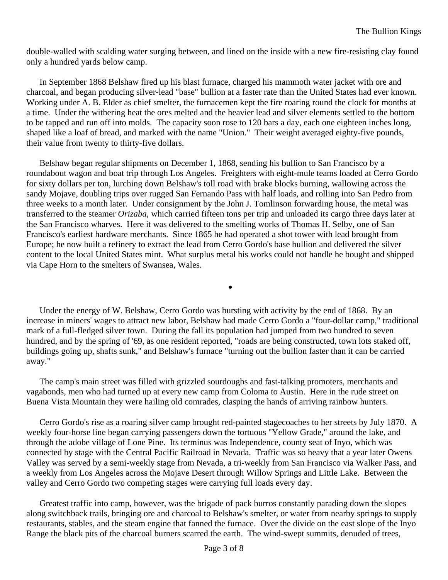double-walled with scalding water surging between, and lined on the inside with a new fire-resisting clay found only a hundred yards below camp.

In September 1868 Belshaw fired up his blast furnace, charged his mammoth water jacket with ore and charcoal, and began producing silver-lead "base" bullion at a faster rate than the United States had ever known. Working under A. B. Elder as chief smelter, the furnacemen kept the fire roaring round the clock for months at a time. Under the withering heat the ores melted and the heavier lead and silver elements settled to the bottom to be tapped and run off into molds. The capacity soon rose to 120 bars a day, each one eighteen inches long, shaped like a loaf of bread, and marked with the name "Union." Their weight averaged eighty-five pounds, their value from twenty to thirty-five dollars.

Belshaw began regular shipments on December 1, 1868, sending his bullion to San Francisco by a roundabout wagon and boat trip through Los Angeles. Freighters with eight-mule teams loaded at Cerro Gordo for sixty dollars per ton, lurching down Belshaw's toll road with brake blocks burning, wallowing across the sandy Mojave, doubling trips over rugged San Fernando Pass with half loads, and rolling into San Pedro from three weeks to a month later. Under consignment by the John J. Tomlinson forwarding house, the metal was transferred to the steamer *Orizaba*, which carried fifteen tons per trip and unloaded its cargo three days later at the San Francisco wharves. Here it was delivered to the smelting works of Thomas H. Selby, one of San Francisco's earliest hardware merchants. Since 1865 he had operated a shot tower with lead brought from Europe; he now built a refinery to extract the lead from Cerro Gordo's base bullion and delivered the silver content to the local United States mint. What surplus metal his works could not handle he bought and shipped via Cape Horn to the smelters of Swansea, Wales.

Under the energy of W. Belshaw, Cerro Gordo was bursting with activity by the end of 1868. By an increase in miners' wages to attract new labor, Belshaw had made Cerro Gordo a "four-dollar camp," traditional mark of a full-fledged silver town. During the fall its population had jumped from two hundred to seven hundred, and by the spring of '69, as one resident reported, "roads are being constructed, town lots staked off, buildings going up, shafts sunk," and Belshaw's furnace "turning out the bullion faster than it can be carried away."

•

The camp's main street was filled with grizzled sourdoughs and fast-talking promoters, merchants and vagabonds, men who had turned up at every new camp from Coloma to Austin. Here in the rude street on Buena Vista Mountain they were hailing old comrades, clasping the hands of arriving rainbow hunters.

Cerro Gordo's rise as a roaring silver camp brought red-painted stagecoaches to her streets by July 1870. A weekly four-horse line began carrying passengers down the tortuous "Yellow Grade," around the lake, and through the adobe village of Lone Pine. Its terminus was Independence, county seat of Inyo, which was connected by stage with the Central Pacific Railroad in Nevada. Traffic was so heavy that a year later Owens Valley was served by a semi-weekly stage from Nevada, a tri-weekly from San Francisco via Walker Pass, and a weekly from Los Angeles across the Mojave Desert through Willow Springs and Little Lake. Between the valley and Cerro Gordo two competing stages were carrying full loads every day.

Greatest traffic into camp, however, was the brigade of pack burros constantly parading down the slopes along switchback trails, bringing ore and charcoal to Belshaw's smelter, or water from nearby springs to supply restaurants, stables, and the steam engine that fanned the furnace. Over the divide on the east slope of the Inyo Range the black pits of the charcoal burners scarred the earth. The wind-swept summits, denuded of trees,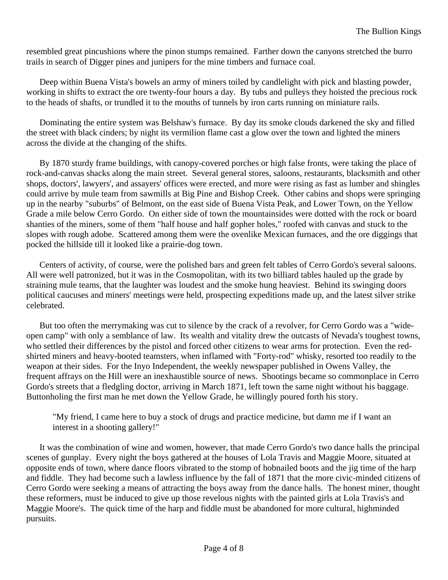resembled great pincushions where the pinon stumps remained. Farther down the canyons stretched the burro trails in search of Digger pines and junipers for the mine timbers and furnace coal.

Deep within Buena Vista's bowels an army of miners toiled by candlelight with pick and blasting powder, working in shifts to extract the ore twenty-four hours a day. By tubs and pulleys they hoisted the precious rock to the heads of shafts, or trundled it to the mouths of tunnels by iron carts running on miniature rails.

Dominating the entire system was Belshaw's furnace. By day its smoke clouds darkened the sky and filled the street with black cinders; by night its vermilion flame cast a glow over the town and lighted the miners across the divide at the changing of the shifts.

By 1870 sturdy frame buildings, with canopy-covered porches or high false fronts, were taking the place of rock-and-canvas shacks along the main street. Several general stores, saloons, restaurants, blacksmith and other shops, doctors', lawyers', and assayers' offices were erected, and more were rising as fast as lumber and shingles could arrive by mule team from sawmills at Big Pine and Bishop Creek. Other cabins and shops were springing up in the nearby "suburbs" of Belmont, on the east side of Buena Vista Peak, and Lower Town, on the Yellow Grade a mile below Cerro Gordo. On either side of town the mountainsides were dotted with the rock or board shanties of the miners, some of them "half house and half gopher holes," roofed with canvas and stuck to the slopes with rough adobe. Scattered among them were the ovenlike Mexican furnaces, and the ore diggings that pocked the hillside till it looked like a prairie-dog town.

Centers of activity, of course, were the polished bars and green felt tables of Cerro Gordo's several saloons. All were well patronized, but it was in the Cosmopolitan, with its two billiard tables hauled up the grade by straining mule teams, that the laughter was loudest and the smoke hung heaviest. Behind its swinging doors political caucuses and miners' meetings were held, prospecting expeditions made up, and the latest silver strike celebrated.

But too often the merrymaking was cut to silence by the crack of a revolver, for Cerro Gordo was a "wideopen camp" with only a semblance of law. Its wealth and vitality drew the outcasts of Nevada's toughest towns, who settled their differences by the pistol and forced other citizens to wear arms for protection. Even the redshirted miners and heavy-booted teamsters, when inflamed with "Forty-rod" whisky, resorted too readily to the weapon at their sides. For the Inyo Independent, the weekly newspaper published in Owens Valley, the frequent affrays on the Hill were an inexhaustible source of news. Shootings became so commonplace in Cerro Gordo's streets that a fledgling doctor, arriving in March 1871, left town the same night without his baggage. Buttonholing the first man he met down the Yellow Grade, he willingly poured forth his story.

"My friend, I came here to buy a stock of drugs and practice medicine, but damn me if I want an interest in a shooting gallery!"

It was the combination of wine and women, however, that made Cerro Gordo's two dance halls the principal scenes of gunplay. Every night the boys gathered at the houses of Lola Travis and Maggie Moore, situated at opposite ends of town, where dance floors vibrated to the stomp of hobnailed boots and the jig time of the harp and fiddle. They had become such a lawless influence by the fall of 1871 that the more civic-minded citizens of Cerro Gordo were seeking a means of attracting the boys away from the dance halls. The honest miner, thought these reformers, must be induced to give up those revelous nights with the painted girls at Lola Travis's and Maggie Moore's. The quick time of the harp and fiddle must be abandoned for more cultural, highminded pursuits.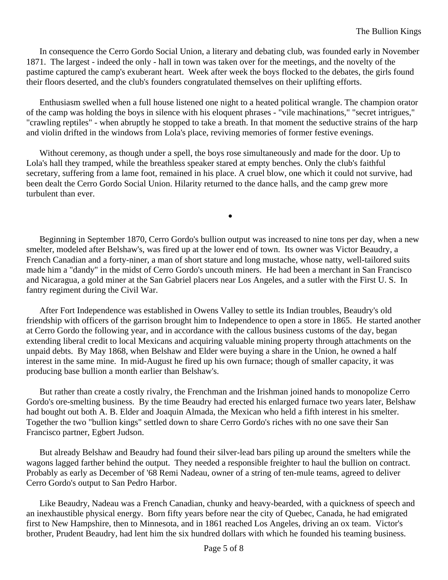In consequence the Cerro Gordo Social Union, a literary and debating club, was founded early in November 1871. The largest - indeed the only - hall in town was taken over for the meetings, and the novelty of the pastime captured the camp's exuberant heart. Week after week the boys flocked to the debates, the girls found their floors deserted, and the club's founders congratulated themselves on their uplifting efforts.

Enthusiasm swelled when a full house listened one night to a heated political wrangle. The champion orator of the camp was holding the boys in silence with his eloquent phrases - "vile machinations," "secret intrigues," "crawling reptiles" - when abruptly he stopped to take a breath. In that moment the seductive strains of the harp and violin drifted in the windows from Lola's place, reviving memories of former festive evenings.

Without ceremony, as though under a spell, the boys rose simultaneously and made for the door. Up to Lola's hall they tramped, while the breathless speaker stared at empty benches. Only the club's faithful secretary, suffering from a lame foot, remained in his place. A cruel blow, one which it could not survive, had been dealt the Cerro Gordo Social Union. Hilarity returned to the dance halls, and the camp grew more turbulent than ever.

Beginning in September 1870, Cerro Gordo's bullion output was increased to nine tons per day, when a new smelter, modeled after Belshaw's, was fired up at the lower end of town. Its owner was Victor Beaudry, a French Canadian and a forty-niner, a man of short stature and long mustache, whose natty, well-tailored suits made him a "dandy" in the midst of Cerro Gordo's uncouth miners. He had been a merchant in San Francisco and Nicaragua, a gold miner at the San Gabriel placers near Los Angeles, and a sutler with the First U. S. In fantry regiment during the Civil War.

•

After Fort Independence was established in Owens Valley to settle its Indian troubles, Beaudry's old friendship with officers of the garrison brought him to Independence to open a store in 1865. He started another at Cerro Gordo the following year, and in accordance with the callous business customs of the day, began extending liberal credit to local Mexicans and acquiring valuable mining property through attachments on the unpaid debts. By May 1868, when Belshaw and Elder were buying a share in the Union, he owned a half interest in the same mine. In mid-August he fired up his own furnace; though of smaller capacity, it was producing base bullion a month earlier than Belshaw's.

But rather than create a costly rivalry, the Frenchman and the Irishman joined hands to monopolize Cerro Gordo's ore-smelting business. By the time Beaudry had erected his enlarged furnace two years later, Belshaw had bought out both A. B. Elder and Joaquin Almada, the Mexican who held a fifth interest in his smelter. Together the two "bullion kings" settled down to share Cerro Gordo's riches with no one save their San Francisco partner, Egbert Judson.

But already Belshaw and Beaudry had found their silver-lead bars piling up around the smelters while the wagons lagged farther behind the output. They needed a responsible freighter to haul the bullion on contract. Probably as early as December of '68 Remi Nadeau, owner of a string of ten-mule teams, agreed to deliver Cerro Gordo's output to San Pedro Harbor.

Like Beaudry, Nadeau was a French Canadian, chunky and heavy-bearded, with a quickness of speech and an inexhaustible physical energy. Born fifty years before near the city of Quebec, Canada, he had emigrated first to New Hampshire, then to Minnesota, and in 1861 reached Los Angeles, driving an ox team. Victor's brother, Prudent Beaudry, had lent him the six hundred dollars with which he founded his teaming business.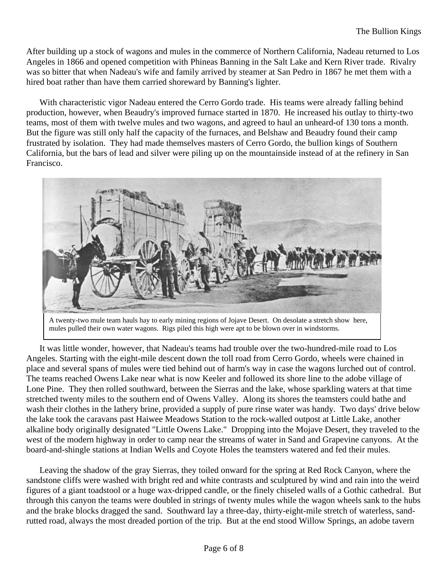After building up a stock of wagons and mules in the commerce of Northern California, Nadeau returned to Los Angeles in 1866 and opened competition with Phineas Banning in the Salt Lake and Kern River trade. Rivalry was so bitter that when Nadeau's wife and family arrived by steamer at San Pedro in 1867 he met them with a hired boat rather than have them carried shoreward by Banning's lighter.

With characteristic vigor Nadeau entered the Cerro Gordo trade. His teams were already falling behind production, however, when Beaudry's improved furnace started in 1870. He increased his outlay to thirty-two teams, most of them with twelve mules and two wagons, and agreed to haul an unheard-of 130 tons a month. But the figure was still only half the capacity of the furnaces, and Belshaw and Beaudry found their camp frustrated by isolation. They had made themselves masters of Cerro Gordo, the bullion kings of Southern California, but the bars of lead and silver were piling up on the mountainside instead of at the refinery in San Francisco.



A twenty-two mule team hauls hay to early mining regions of Jojave Desert. On desolate a stretch show here, mules pulled their own water wagons. Rigs piled this high were apt to be blown over in windstorms.

It was little wonder, however, that Nadeau's teams had trouble over the two-hundred-mile road to Los Angeles. Starting with the eight-mile descent down the toll road from Cerro Gordo, wheels were chained in place and several spans of mules were tied behind out of harm's way in case the wagons lurched out of control. The teams reached Owens Lake near what is now Keeler and followed its shore line to the adobe village of Lone Pine. They then rolled southward, between the Sierras and the lake, whose sparkling waters at that time stretched twenty miles to the southern end of Owens Valley. Along its shores the teamsters could bathe and wash their clothes in the lathery brine, provided a supply of pure rinse water was handy. Two days' drive below the lake took the caravans past Haiwee Meadows Station to the rock-walled outpost at Little Lake, another alkaline body originally designated "Little Owens Lake." Dropping into the Mojave Desert, they traveled to the west of the modern highway in order to camp near the streams of water in Sand and Grapevine canyons. At the board-and-shingle stations at Indian Wells and Coyote Holes the teamsters watered and fed their mules.

Leaving the shadow of the gray Sierras, they toiled onward for the spring at Red Rock Canyon, where the sandstone cliffs were washed with bright red and white contrasts and sculptured by wind and rain into the weird figures of a giant toadstool or a huge wax-dripped candle, or the finely chiseled walls of a Gothic cathedral. But through this canyon the teams were doubled in strings of twenty mules while the wagon wheels sank to the hubs and the brake blocks dragged the sand. Southward lay a three-day, thirty-eight-mile stretch of waterless, sandrutted road, always the most dreaded portion of the trip. But at the end stood Willow Springs, an adobe tavern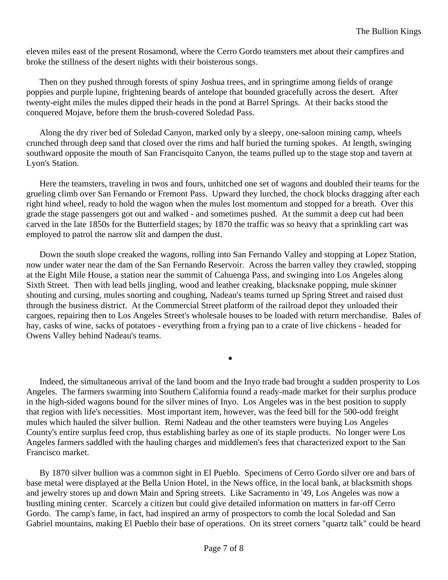eleven miles east of the present Rosamond, where the Cerro Gordo teamsters met about their campfires and broke the stillness of the desert nights with their boisterous songs.

Then on they pushed through forests of spiny Joshua trees, and in springtime among fields of orange poppies and purple lupine, frightening beards of antelope that bounded gracefully across the desert. After twenty-eight miles the mules dipped their heads in the pond at Barrel Springs. At their backs stood the conquered Mojave, before them the brush-covered Soledad Pass.

Along the dry river bed of Soledad Canyon, marked only by a sleepy, one-saloon mining camp, wheels crunched through deep sand that closed over the rims and half buried the turning spokes. At length, swinging southward opposite the mouth of San Francisquito Canyon, the teams pulled up to the stage stop and tavern at Lyon's Station.

Here the teamsters, traveling in twos and fours, unhitched one set of wagons and doubled their teams for the grueling climb over San Fernando or Fremont Pass. Upward they lurched, the chock blocks dragging after each right hind wheel, ready to hold the wagon when the mules lost momentum and stopped for a breath. Over this grade the stage passengers got out and walked - and sometimes pushed. At the summit a deep cut had been carved in the late 1850s for the Butterfield stages; by 1870 the traffic was so heavy that a sprinkling cart was employed to patrol the narrow slit and dampen the dust.

Down the south slope creaked the wagons, rolling into San Fernando Valley and stopping at Lopez Station, now under water near the dam of the San Fernando Reservoir. Across the barren valley they crawled, stopping at the Eight Mile House, a station near the summit of Cahuenga Pass, and swinging into Los Angeles along Sixth Street. Then with lead bells jingling, wood and leather creaking, blacksnake popping, mule skinner shouting and cursing, mules snorting and coughing, Nadeau's teams turned up Spring Street and raised dust through the business district. At the Commercial Street platform of the railroad depot they unloaded their cargoes, repairing then to Los Angeles Street's wholesale houses to be loaded with return merchandise. Bales of hay, casks of wine, sacks of potatoes - everything from a frying pan to a crate of live chickens - headed for Owens Valley behind Nadeau's teams.

Indeed, the simultaneous arrival of the land boom and the Inyo trade bad brought a sudden prosperity to Los Angeles. The farmers swarming into Southern California found a ready-made market for their surplus produce in the high-sided wagons bound for the silver mines of Inyo. Los Angeles was in the best position to supply that region with life's necessities. Most important item, however, was the feed bill for the 500-odd freight mules which hauled the silver bullion. Remi Nadeau and the other teamsters were buying Los Angeles County's entire surplus feed crop, thus establishing barley as one of its staple products. No longer were Los Angeles farmers saddled with the hauling charges and middlemen's fees that characterized export to the San Francisco market.

•

By 1870 silver bullion was a common sight in El Pueblo. Specimens of Cerro Gordo silver ore and bars of base metal were displayed at the Bella Union Hotel, in the News office, in the local bank, at blacksmith shops and jewelry stores up and down Main and Spring streets. Like Sacramento in '49, Los Angeles was now a bustling mining center. Scarcely a citizen but could give detailed information on matters in far-off Cerro Gordo. The camp's fame, in fact, had inspired an army of prospectors to comb the local Soledad and San Gabriel mountains, making El Pueblo their base of operations. On its street corners "quartz talk" could be heard